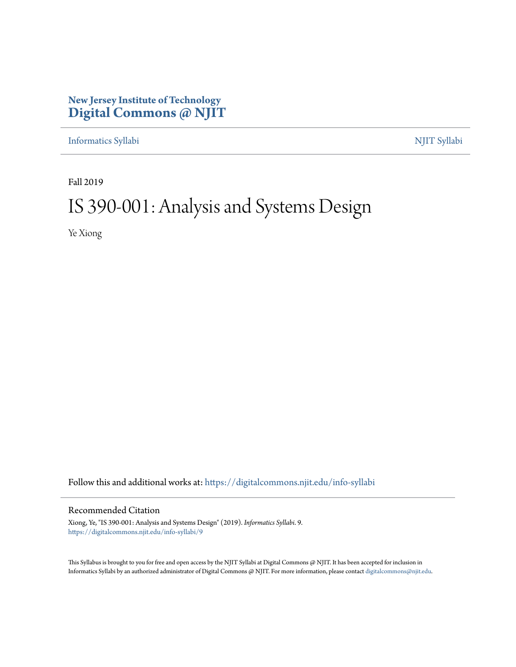## **New Jersey Institute of Technology [Digital Commons @ NJIT](https://digitalcommons.njit.edu/?utm_source=digitalcommons.njit.edu%2Finfo-syllabi%2F9&utm_medium=PDF&utm_campaign=PDFCoverPages)**

[Informatics Syllabi](https://digitalcommons.njit.edu/info-syllabi?utm_source=digitalcommons.njit.edu%2Finfo-syllabi%2F9&utm_medium=PDF&utm_campaign=PDFCoverPages) [NJIT Syllabi](https://digitalcommons.njit.edu/syllabi?utm_source=digitalcommons.njit.edu%2Finfo-syllabi%2F9&utm_medium=PDF&utm_campaign=PDFCoverPages)

Fall 2019

# IS 390-001: Analysis and Systems Design

Ye Xiong

Follow this and additional works at: [https://digitalcommons.njit.edu/info-syllabi](https://digitalcommons.njit.edu/info-syllabi?utm_source=digitalcommons.njit.edu%2Finfo-syllabi%2F9&utm_medium=PDF&utm_campaign=PDFCoverPages)

#### Recommended Citation

Xiong, Ye, "IS 390-001: Analysis and Systems Design" (2019). *Informatics Syllabi*. 9. [https://digitalcommons.njit.edu/info-syllabi/9](https://digitalcommons.njit.edu/info-syllabi/9?utm_source=digitalcommons.njit.edu%2Finfo-syllabi%2F9&utm_medium=PDF&utm_campaign=PDFCoverPages)

This Syllabus is brought to you for free and open access by the NJIT Syllabi at Digital Commons @ NJIT. It has been accepted for inclusion in Informatics Syllabi by an authorized administrator of Digital Commons @ NJIT. For more information, please contact [digitalcommons@njit.edu.](mailto:digitalcommons@njit.edu)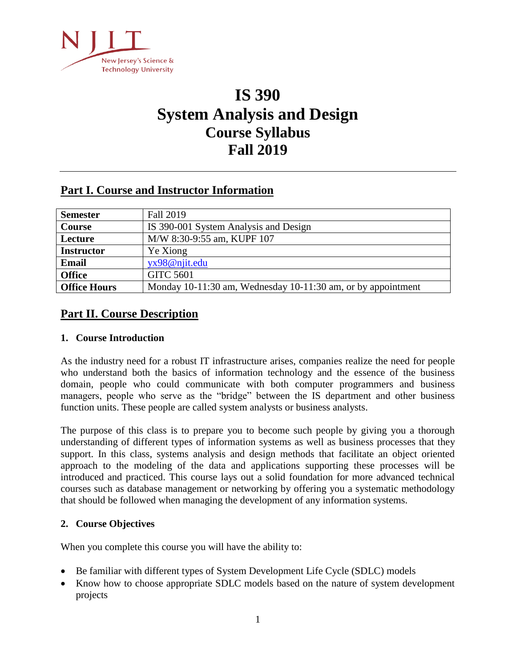

## **IS 390 System Analysis and Design Course Syllabus Fall 2019**

## **Part I. Course and Instructor Information**

| <b>Semester</b>     | Fall 2019                                                    |
|---------------------|--------------------------------------------------------------|
| Course              | IS 390-001 System Analysis and Design                        |
| Lecture             | M/W 8:30-9:55 am, KUPF 107                                   |
| <b>Instructor</b>   | Ye Xiong                                                     |
| <b>Email</b>        | yx98@njit.edu                                                |
| <b>Office</b>       | <b>GITC 5601</b>                                             |
| <b>Office Hours</b> | Monday 10-11:30 am, Wednesday 10-11:30 am, or by appointment |

## **Part II. Course Description**

#### **1. Course Introduction**

As the industry need for a robust IT infrastructure arises, companies realize the need for people who understand both the basics of information technology and the essence of the business domain, people who could communicate with both computer programmers and business managers, people who serve as the "bridge" between the IS department and other business function units. These people are called system analysts or business analysts.

The purpose of this class is to prepare you to become such people by giving you a thorough understanding of different types of information systems as well as business processes that they support. In this class, systems analysis and design methods that facilitate an object oriented approach to the modeling of the data and applications supporting these processes will be introduced and practiced. This course lays out a solid foundation for more advanced technical courses such as database management or networking by offering you a systematic methodology that should be followed when managing the development of any information systems.

#### **2. Course Objectives**

When you complete this course you will have the ability to:

- Be familiar with different types of System Development Life Cycle (SDLC) models
- Know how to choose appropriate SDLC models based on the nature of system development projects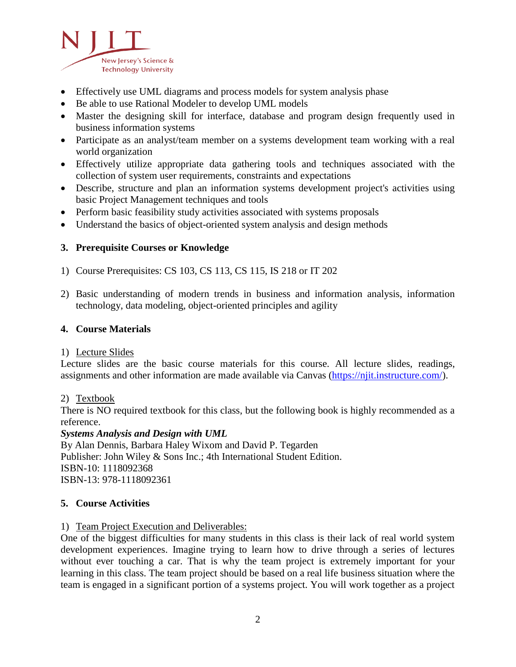

- Effectively use UML diagrams and process models for system analysis phase
- Be able to use Rational Modeler to develop UML models
- Master the designing skill for interface, database and program design frequently used in business information systems
- Participate as an analyst/team member on a systems development team working with a real world organization
- Effectively utilize appropriate data gathering tools and techniques associated with the collection of system user requirements, constraints and expectations
- Describe, structure and plan an information systems development project's activities using basic Project Management techniques and tools
- Perform basic feasibility study activities associated with systems proposals
- Understand the basics of object-oriented system analysis and design methods

#### **3. Prerequisite Courses or Knowledge**

- 1) Course Prerequisites: CS 103, CS 113, CS 115, IS 218 or IT 202
- 2) Basic understanding of modern trends in business and information analysis, information technology, data modeling, object-oriented principles and agility

#### **4. Course Materials**

#### 1) Lecture Slides

Lecture slides are the basic course materials for this course. All lecture slides, readings, assignments and other information are made available via Canvas (https://njit.instructure.com/).

#### 2) Textbook

There is NO required textbook for this class, but the following book is highly recommended as a reference.

#### *Systems Analysis and Design with UML*

By Alan Dennis, Barbara Haley Wixom and David P. Tegarden Publisher: John Wiley & Sons Inc.; 4th International Student Edition. ISBN-10: 1118092368 ISBN-13: 978-1118092361

#### **5. Course Activities**

#### 1) Team Project Execution and Deliverables:

One of the biggest difficulties for many students in this class is their lack of real world system development experiences. Imagine trying to learn how to drive through a series of lectures without ever touching a car. That is why the team project is extremely important for your learning in this class. The team project should be based on a real life business situation where the team is engaged in a significant portion of a systems project. You will work together as a project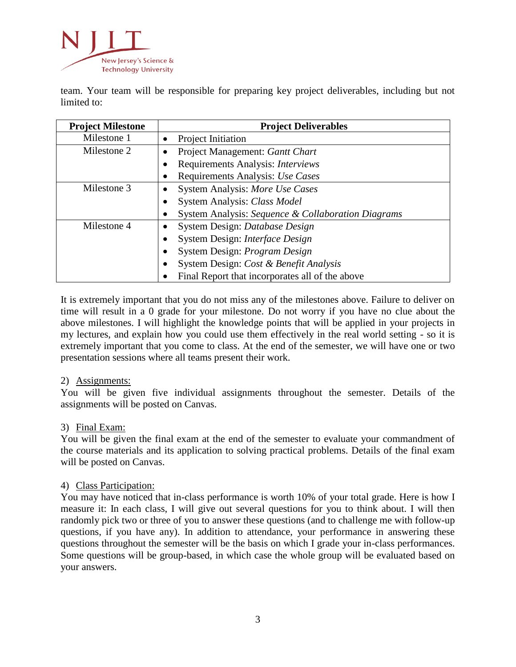

team. Your team will be responsible for preparing key project deliverables, including but not limited to:

| <b>Project Milestone</b> | <b>Project Deliverables</b>                        |  |  |
|--------------------------|----------------------------------------------------|--|--|
| Milestone 1              | Project Initiation<br>$\bullet$                    |  |  |
| Milestone 2              | Project Management: Gantt Chart                    |  |  |
|                          | Requirements Analysis: Interviews                  |  |  |
|                          | Requirements Analysis: Use Cases                   |  |  |
| Milestone 3              | System Analysis: More Use Cases<br>٠               |  |  |
|                          | System Analysis: Class Model                       |  |  |
|                          | System Analysis: Sequence & Collaboration Diagrams |  |  |
| Milestone 4              | System Design: Database Design                     |  |  |
|                          | System Design: Interface Design                    |  |  |
|                          | System Design: Program Design                      |  |  |
|                          | System Design: Cost & Benefit Analysis             |  |  |
|                          | Final Report that incorporates all of the above    |  |  |

It is extremely important that you do not miss any of the milestones above. Failure to deliver on time will result in a 0 grade for your milestone. Do not worry if you have no clue about the above milestones. I will highlight the knowledge points that will be applied in your projects in my lectures, and explain how you could use them effectively in the real world setting - so it is extremely important that you come to class. At the end of the semester, we will have one or two presentation sessions where all teams present their work.

#### 2) Assignments:

You will be given five individual assignments throughout the semester. Details of the assignments will be posted on Canvas.

#### 3) Final Exam:

You will be given the final exam at the end of the semester to evaluate your commandment of the course materials and its application to solving practical problems. Details of the final exam will be posted on Canvas.

#### 4) Class Participation:

You may have noticed that in-class performance is worth 10% of your total grade. Here is how I measure it: In each class, I will give out several questions for you to think about. I will then randomly pick two or three of you to answer these questions (and to challenge me with follow-up questions, if you have any). In addition to attendance, your performance in answering these questions throughout the semester will be the basis on which I grade your in-class performances. Some questions will be group-based, in which case the whole group will be evaluated based on your answers.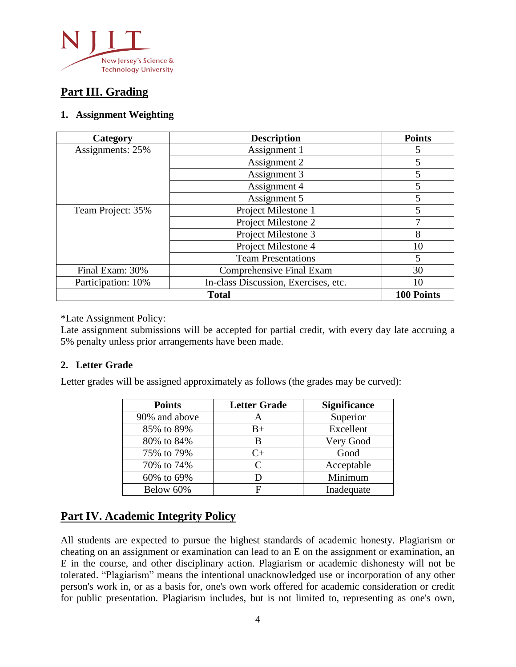

## **Part III. Grading**

#### **1. Assignment Weighting**

| Category           | <b>Description</b>                   | <b>Points</b> |
|--------------------|--------------------------------------|---------------|
| Assignments: 25%   | Assignment 1                         | 5             |
|                    | Assignment 2                         | 5             |
|                    | Assignment 3                         | 5             |
|                    | Assignment 4                         | 5             |
|                    | Assignment 5                         | 5             |
| Team Project: 35%  | Project Milestone 1                  | 5             |
|                    | Project Milestone 2                  | 7             |
|                    | Project Milestone 3                  | 8             |
|                    | Project Milestone 4                  | 10            |
|                    | <b>Team Presentations</b>            | 5             |
| Final Exam: 30%    | Comprehensive Final Exam             | 30            |
| Participation: 10% | In-class Discussion, Exercises, etc. | 10            |
|                    | <b>100 Points</b>                    |               |

\*Late Assignment Policy:

Late assignment submissions will be accepted for partial credit, with every day late accruing a 5% penalty unless prior arrangements have been made.

#### **2. Letter Grade**

Letter grades will be assigned approximately as follows (the grades may be curved):

| <b>Points</b> | <b>Letter Grade</b>         | <b>Significance</b> |
|---------------|-----------------------------|---------------------|
| 90% and above | A                           | Superior            |
| 85% to 89%    | $_{\rm B+}$                 | Excellent           |
| 80% to 84%    | B                           | Very Good           |
| 75% to 79%    | $C_{\pm}$                   | Good                |
| 70% to 74%    | $\mathcal{C}_{\mathcal{C}}$ | Acceptable          |
| 60% to 69%    |                             | Minimum             |
| Below 60%     |                             | Inadequate          |

## **Part IV. Academic Integrity Policy**

All students are expected to pursue the highest standards of academic honesty. Plagiarism or cheating on an assignment or examination can lead to an E on the assignment or examination, an E in the course, and other disciplinary action. Plagiarism or academic dishonesty will not be tolerated. "Plagiarism" means the intentional unacknowledged use or incorporation of any other person's work in, or as a basis for, one's own work offered for academic consideration or credit for public presentation. Plagiarism includes, but is not limited to, representing as one's own,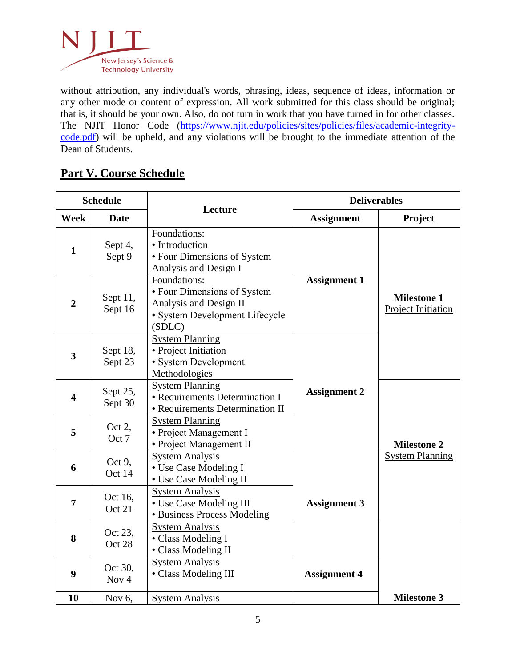

without attribution, any individual's words, phrasing, ideas, sequence of ideas, information or any other mode or content of expression. All work submitted for this class should be original; that is, it should be your own. Also, do not turn in work that you have turned in for other classes. The NJIT Honor Code (https://www.njit.edu/policies/sites/policies/files/academic-integritycode.pdf) will be upheld, and any violations will be brought to the immediate attention of the Dean of Students.

## **Part V. Course Schedule**

| <b>Schedule</b>         |                             |                                                                                                                   | <b>Deliverables</b> |                                                 |
|-------------------------|-----------------------------|-------------------------------------------------------------------------------------------------------------------|---------------------|-------------------------------------------------|
| Week                    | <b>Date</b>                 | Lecture                                                                                                           | <b>Assignment</b>   | Project                                         |
| $\mathbf{1}$            | Sept 4,<br>Sept 9           | Foundations:<br>• Introduction<br>• Four Dimensions of System<br>Analysis and Design I                            |                     |                                                 |
| $\overline{2}$          | Sept 11,<br>Sept 16         | Foundations:<br>• Four Dimensions of System<br>Analysis and Design II<br>· System Development Lifecycle<br>(SDLC) | <b>Assignment 1</b> | <b>Milestone 1</b><br><b>Project Initiation</b> |
| $\overline{\mathbf{3}}$ | Sept 18,<br>Sept 23         | <b>System Planning</b><br>• Project Initiation<br>• System Development<br>Methodologies                           |                     |                                                 |
| $\overline{\mathbf{4}}$ | Sept 25,<br>Sept 30         | <b>System Planning</b><br>• Requirements Determination I<br>• Requirements Determination II                       | <b>Assignment 2</b> |                                                 |
| 5                       | Oct 2,<br>Oct 7             | <b>System Planning</b><br>• Project Management I<br>• Project Management II                                       |                     | <b>Milestone 2</b>                              |
| 6                       | Oct $9$ ,<br>Oct 14         | <b>System Analysis</b><br>• Use Case Modeling I<br>• Use Case Modeling II                                         |                     | <b>System Planning</b>                          |
| $\overline{7}$          | Oct 16,<br>Oct 21           | <b>System Analysis</b><br>• Use Case Modeling III<br>• Business Process Modeling                                  | <b>Assignment 3</b> |                                                 |
| 8                       | Oct 23,<br>Oct 28           | <b>System Analysis</b><br>• Class Modeling I<br>• Class Modeling II                                               |                     |                                                 |
| 9                       | Oct 30,<br>Nov <sub>4</sub> | <b>System Analysis</b><br>• Class Modeling III                                                                    | <b>Assignment 4</b> |                                                 |
| 10                      | Nov $6$ ,                   | <b>System Analysis</b>                                                                                            |                     | <b>Milestone 3</b>                              |